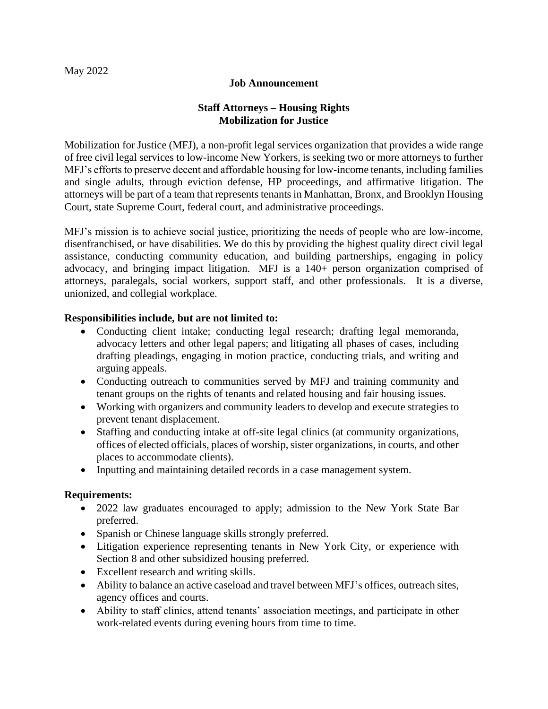## May 2022

#### **Job Announcement**

# **Staff Attorneys – Housing Rights Mobilization for Justice**

Mobilization for Justice (MFJ), a non-profit legal services organization that provides a wide range of free civil legal services to low-income New Yorkers, is seeking two or more attorneys to further MFJ's efforts to preserve decent and affordable housing for low-income tenants, including families and single adults, through eviction defense, HP proceedings, and affirmative litigation. The attorneys will be part of a team that represents tenants in Manhattan, Bronx, and Brooklyn Housing Court, state Supreme Court, federal court, and administrative proceedings.

MFJ's mission is to achieve social justice, prioritizing the needs of people who are low-income, disenfranchised, or have disabilities. We do this by providing the highest quality direct civil legal assistance, conducting community education, and building partnerships, engaging in policy advocacy, and bringing impact litigation.MFJ is a 140+ person organization comprised of attorneys, paralegals, social workers, support staff, and other professionals. It is a diverse, unionized, and collegial workplace.

## **Responsibilities include, but are not limited to:**

- Conducting client intake; conducting legal research; drafting legal memoranda, advocacy letters and other legal papers; and litigating all phases of cases, including drafting pleadings, engaging in motion practice, conducting trials, and writing and arguing appeals.
- Conducting outreach to communities served by MFJ and training community and tenant groups on the rights of tenants and related housing and fair housing issues.
- Working with organizers and community leaders to develop and execute strategies to prevent tenant displacement.
- Staffing and conducting intake at off-site legal clinics (at community organizations, offices of elected officials, places of worship, sister organizations, in courts, and other places to accommodate clients).
- Inputting and maintaining detailed records in a case management system.

## **Requirements:**

- 2022 law graduates encouraged to apply; admission to the New York State Bar preferred.
- Spanish or Chinese language skills strongly preferred.
- Litigation experience representing tenants in New York City, or experience with Section 8 and other subsidized housing preferred.
- Excellent research and writing skills.
- Ability to balance an active caseload and travel between MFJ's offices, outreach sites, agency offices and courts.
- Ability to staff clinics, attend tenants' association meetings, and participate in other work-related events during evening hours from time to time.